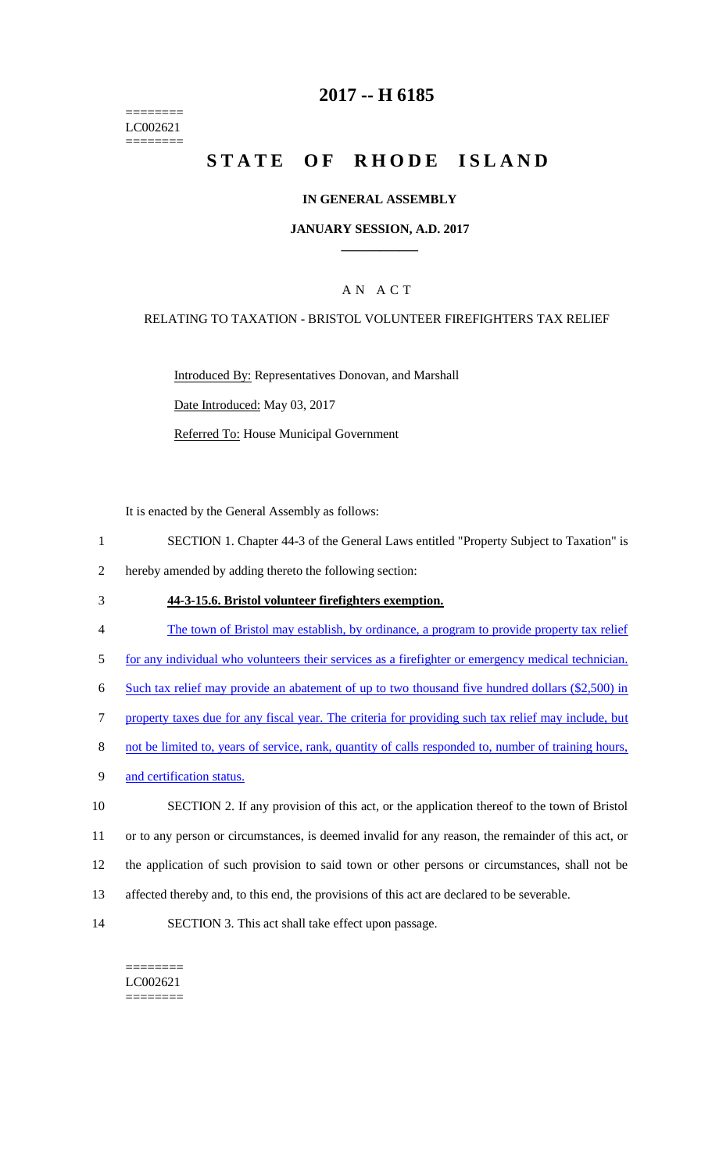======== LC002621 ========

### **2017 -- H 6185**

# **STATE OF RHODE ISLAND**

### **IN GENERAL ASSEMBLY**

#### **JANUARY SESSION, A.D. 2017 \_\_\_\_\_\_\_\_\_\_\_\_**

### A N A C T

#### RELATING TO TAXATION - BRISTOL VOLUNTEER FIREFIGHTERS TAX RELIEF

Introduced By: Representatives Donovan, and Marshall Date Introduced: May 03, 2017

Referred To: House Municipal Government

It is enacted by the General Assembly as follows:

- 1 SECTION 1. Chapter 44-3 of the General Laws entitled "Property Subject to Taxation" is
- 2 hereby amended by adding thereto the following section:
- 3 **44-3-15.6. Bristol volunteer firefighters exemption.**
- 4 The town of Bristol may establish, by ordinance, a program to provide property tax relief
- 5 for any individual who volunteers their services as a firefighter or emergency medical technician.

6 Such tax relief may provide an abatement of up to two thousand five hundred dollars (\$2,500) in

7 property taxes due for any fiscal year. The criteria for providing such tax relief may include, but

- 8 not be limited to, years of service, rank, quantity of calls responded to, number of training hours,
- 9 and certification status.

 SECTION 2. If any provision of this act, or the application thereof to the town of Bristol or to any person or circumstances, is deemed invalid for any reason, the remainder of this act, or the application of such provision to said town or other persons or circumstances, shall not be affected thereby and, to this end, the provisions of this act are declared to be severable.

14 SECTION 3. This act shall take effect upon passage.

#### ======== LC002621 ========